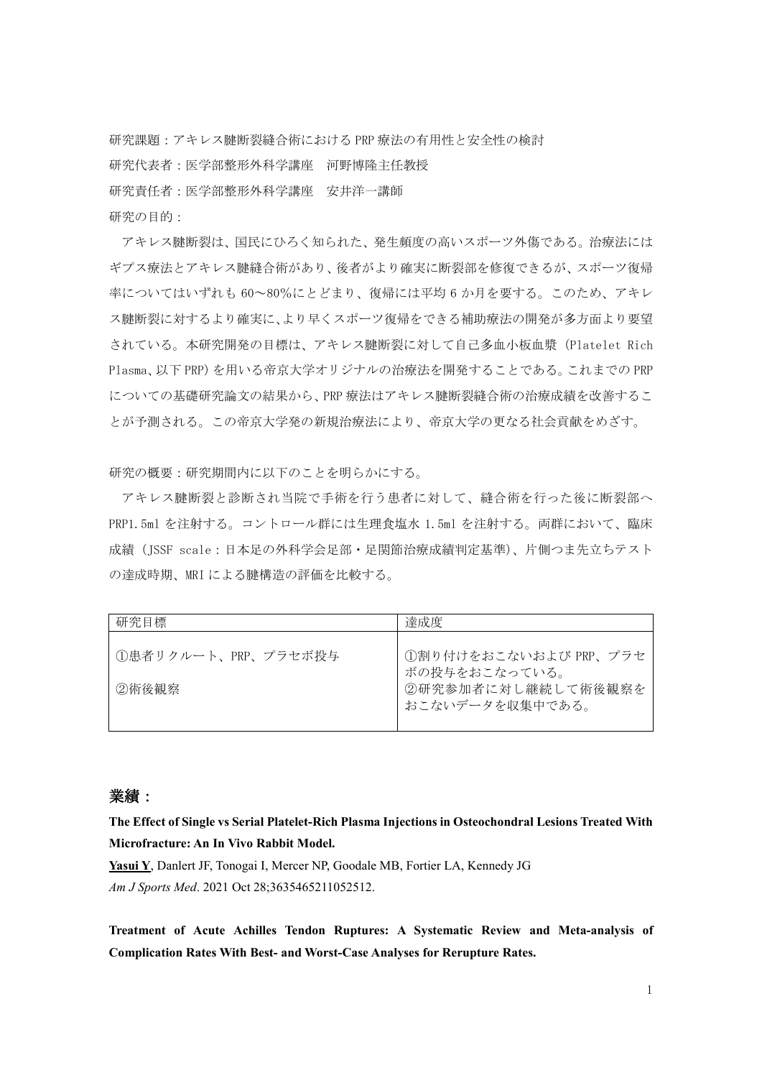研究課題:アキレス腱断裂縫合術における PRP 療法の有用性と安全性の検討 研究代表者:医学部整形外科学講座 河野博隆主任教授 研究責任者:医学部整形外科学講座 安井洋一講師 研究の目的:

アキレス腱断裂は、国民にひろく知られた、発生頻度の高いスポーツ外傷である。治療法には ギプス療法とアキレス腱縫合術があり、後者がより確実に断裂部を修復できるが、スポーツ復帰 率についてはいずれも 60~80%にとどまり、復帰には平均 6 か月を要する。このため、アキレ ス腱断裂に対するより確実に、より早くスポーツ復帰をできる補助療法の開発が多方面より要望 されている。本研究開発の目標は、アキレス腱断裂に対して自己多血小板血漿(Platelet Rich Plasma、以下 PRP)を用いる帝京大学オリジナルの治療法を開発することである。これまでの PRP についての基礎研究論文の結果から、PRP 療法はアキレス腱断裂縫合術の治療成績を改善するこ とが予測される。この帝京大学発の新規治療法により、帝京大学の更なる社会貢献をめざす。

研究の概要:研究期間内に以下のことを明らかにする。

アキレス腱断裂と診断され当院で手術を行う患者に対して、縫合術を行った後に断裂部へ PRP1.5ml を注射する。コントロール群には生理食塩水 1.5ml を注射する。両群において、臨床 成績(JSSF scale:日本足の外科学会足部・足関節治療成績判定基準)、片側つま先立ちテスト の達成時期、MRI による腱構造の評価を比較する。

| 研究目標                | 達成度                                    |
|---------------------|----------------------------------------|
| ①患者リクルート、PRP、プラセボ投与 | ①割り付けをおこないおよび PRP、プラセ<br>ボの投与をおこなっている。 |
| ②術後観察               | ②研究参加者に対し継続して術後観察を<br>おこないデータを収集中である。  |

## 業績:

**The Effect of Single vs Serial Platelet-Rich Plasma Injections in Osteochondral Lesions Treated With Microfracture: An In Vivo Rabbit Model.**

**Yasui Y**, Danlert JF, Tonogai I, Mercer NP, Goodale MB, Fortier LA, Kennedy JG *Am J Sports Med*. 2021 Oct 28;3635465211052512.

**Treatment of Acute Achilles Tendon Ruptures: A Systematic Review and Meta-analysis of Complication Rates With Best- and Worst-Case Analyses for Rerupture Rates.**